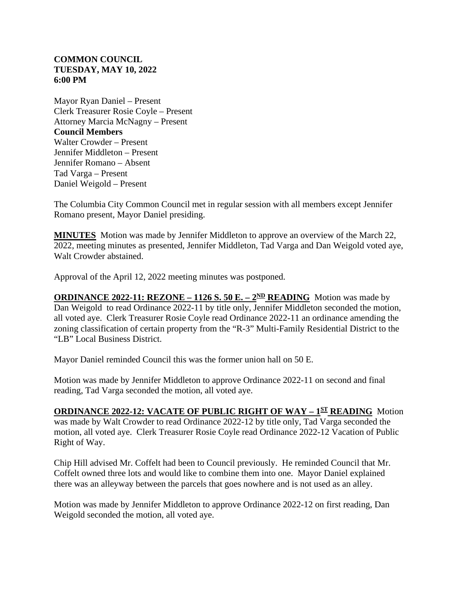## **COMMON COUNCIL TUESDAY, MAY 10, 2022 6:00 PM**

Mayor Ryan Daniel – Present Clerk Treasurer Rosie Coyle – Present Attorney Marcia McNagny – Present **Council Members** Walter Crowder – Present Jennifer Middleton – Present Jennifer Romano – Absent Tad Varga – Present Daniel Weigold – Present

The Columbia City Common Council met in regular session with all members except Jennifer Romano present, Mayor Daniel presiding.

**MINUTES** Motion was made by Jennifer Middleton to approve an overview of the March 22, 2022, meeting minutes as presented, Jennifer Middleton, Tad Varga and Dan Weigold voted aye, Walt Crowder abstained.

Approval of the April 12, 2022 meeting minutes was postponed.

**ORDINANCE 2022-11: REZONE – 1126 S. 50 E. –**  $2^{ND}$  **<b>READING** Motion was made by Dan Weigold to read Ordinance 2022-11 by title only, Jennifer Middleton seconded the motion, all voted aye. Clerk Treasurer Rosie Coyle read Ordinance 2022-11 an ordinance amending the zoning classification of certain property from the "R-3" Multi-Family Residential District to the "LB" Local Business District.

Mayor Daniel reminded Council this was the former union hall on 50 E.

Motion was made by Jennifer Middleton to approve Ordinance 2022-11 on second and final reading, Tad Varga seconded the motion, all voted aye.

## **ORDINANCE 2022-12: VACATE OF PUBLIC RIGHT OF WAY – 1ST READING** Motion

was made by Walt Crowder to read Ordinance 2022-12 by title only, Tad Varga seconded the motion, all voted aye. Clerk Treasurer Rosie Coyle read Ordinance 2022-12 Vacation of Public Right of Way.

Chip Hill advised Mr. Coffelt had been to Council previously. He reminded Council that Mr. Coffelt owned three lots and would like to combine them into one. Mayor Daniel explained there was an alleyway between the parcels that goes nowhere and is not used as an alley.

Motion was made by Jennifer Middleton to approve Ordinance 2022-12 on first reading, Dan Weigold seconded the motion, all voted aye.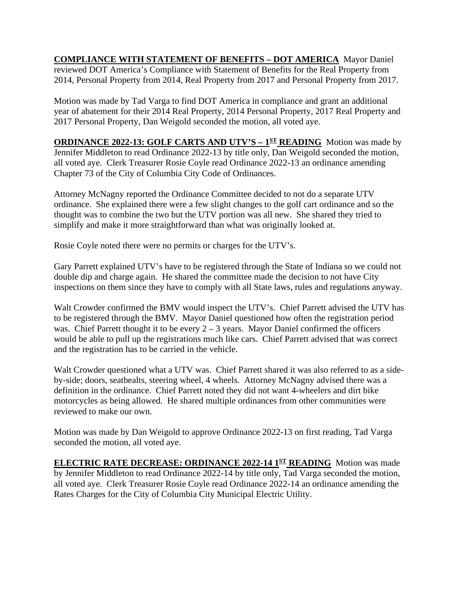**COMPLIANCE WITH STATEMENT OF BENEFITS – DOT AMERICA** Mayor Daniel reviewed DOT America's Compliance with Statement of Benefits for the Real Property from 2014, Personal Property from 2014, Real Property from 2017 and Personal Property from 2017.

Motion was made by Tad Varga to find DOT America in compliance and grant an additional year of abatement for their 2014 Real Property, 2014 Personal Property, 2017 Real Property and 2017 Personal Property, Dan Weigold seconded the motion, all voted aye.

**ORDINANCE 2022-13: GOLF CARTS AND UTV'S - 1<sup>ST</sup> READING** Motion was made by Jennifer Middleton to read Ordinance 2022-13 by title only, Dan Weigold seconded the motion, all voted aye. Clerk Treasurer Rosie Coyle read Ordinance 2022-13 an ordinance amending Chapter 73 of the City of Columbia City Code of Ordinances.

Attorney McNagny reported the Ordinance Committee decided to not do a separate UTV ordinance. She explained there were a few slight changes to the golf cart ordinance and so the thought was to combine the two but the UTV portion was all new. She shared they tried to simplify and make it more straightforward than what was originally looked at.

Rosie Coyle noted there were no permits or charges for the UTV's.

Gary Parrett explained UTV's have to be registered through the State of Indiana so we could not double dip and charge again. He shared the committee made the decision to not have City inspections on them since they have to comply with all State laws, rules and regulations anyway.

Walt Crowder confirmed the BMV would inspect the UTV's. Chief Parrett advised the UTV has to be registered through the BMV. Mayor Daniel questioned how often the registration period was. Chief Parrett thought it to be every  $2 - 3$  years. Mayor Daniel confirmed the officers would be able to pull up the registrations much like cars. Chief Parrett advised that was correct and the registration has to be carried in the vehicle.

Walt Crowder questioned what a UTV was. Chief Parrett shared it was also referred to as a sideby-side; doors, seatbealts, steering wheel, 4 wheels. Attorney McNagny advised there was a definition in the ordinance. Chief Parrett noted they did not want 4-wheelers and dirt bike motorcycles as being allowed. He shared multiple ordinances from other communities were reviewed to make our own.

Motion was made by Dan Weigold to approve Ordinance 2022-13 on first reading, Tad Varga seconded the motion, all voted aye.

**ELECTRIC RATE DECREASE: ORDINANCE 2022-14 1ST READING** Motion was made by Jennifer Middleton to read Ordinance 2022-14 by title only, Tad Varga seconded the motion, all voted aye. Clerk Treasurer Rosie Coyle read Ordinance 2022-14 an ordinance amending the Rates Charges for the City of Columbia City Municipal Electric Utility.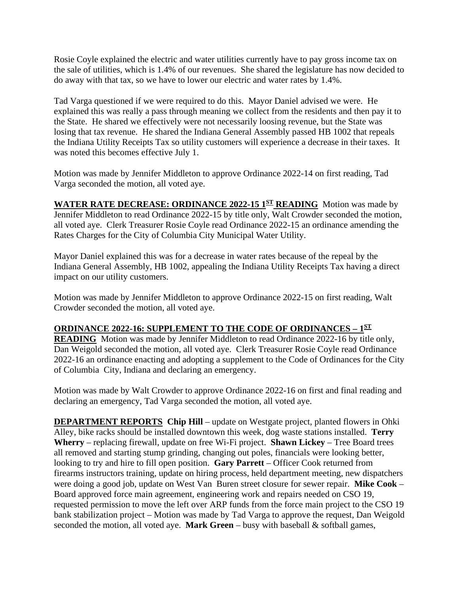Rosie Coyle explained the electric and water utilities currently have to pay gross income tax on the sale of utilities, which is 1.4% of our revenues. She shared the legislature has now decided to do away with that tax, so we have to lower our electric and water rates by 1.4%.

Tad Varga questioned if we were required to do this. Mayor Daniel advised we were. He explained this was really a pass through meaning we collect from the residents and then pay it to the State. He shared we effectively were not necessarily loosing revenue, but the State was losing that tax revenue. He shared the Indiana General Assembly passed HB 1002 that repeals the Indiana Utility Receipts Tax so utility customers will experience a decrease in their taxes. It was noted this becomes effective July 1.

Motion was made by Jennifer Middleton to approve Ordinance 2022-14 on first reading, Tad Varga seconded the motion, all voted aye.

**WATER RATE DECREASE: ORDINANCE 2022-15 1ST READING** Motion was made by Jennifer Middleton to read Ordinance 2022-15 by title only, Walt Crowder seconded the motion, all voted aye. Clerk Treasurer Rosie Coyle read Ordinance 2022-15 an ordinance amending the Rates Charges for the City of Columbia City Municipal Water Utility.

Mayor Daniel explained this was for a decrease in water rates because of the repeal by the Indiana General Assembly, HB 1002, appealing the Indiana Utility Receipts Tax having a direct impact on our utility customers.

Motion was made by Jennifer Middleton to approve Ordinance 2022-15 on first reading, Walt Crowder seconded the motion, all voted aye.

## **ORDINANCE 2022-16: SUPPLEMENT TO THE CODE OF ORDINANCES – 1ST**

**READING** Motion was made by Jennifer Middleton to read Ordinance 2022-16 by title only, Dan Weigold seconded the motion, all voted aye. Clerk Treasurer Rosie Coyle read Ordinance 2022-16 an ordinance enacting and adopting a supplement to the Code of Ordinances for the City of Columbia City, Indiana and declaring an emergency.

Motion was made by Walt Crowder to approve Ordinance 2022-16 on first and final reading and declaring an emergency, Tad Varga seconded the motion, all voted aye.

**DEPARTMENT REPORTS** Chip Hill – update on Westgate project, planted flowers in Ohki Alley, bike racks should be installed downtown this week, dog waste stations installed. **Terry Wherry** – replacing firewall, update on free Wi-Fi project. **Shawn Lickey** – Tree Board trees all removed and starting stump grinding, changing out poles, financials were looking better, looking to try and hire to fill open position. **Gary Parrett** – Officer Cook returned from firearms instructors training, update on hiring process, held department meeting, new dispatchers were doing a good job, update on West Van Buren street closure for sewer repair. **Mike Cook** – Board approved force main agreement, engineering work and repairs needed on CSO 19, requested permission to move the left over ARP funds from the force main project to the CSO 19 bank stabilization project – Motion was made by Tad Varga to approve the request, Dan Weigold seconded the motion, all voted aye. **Mark Green** – busy with baseball  $\&$  softball games,